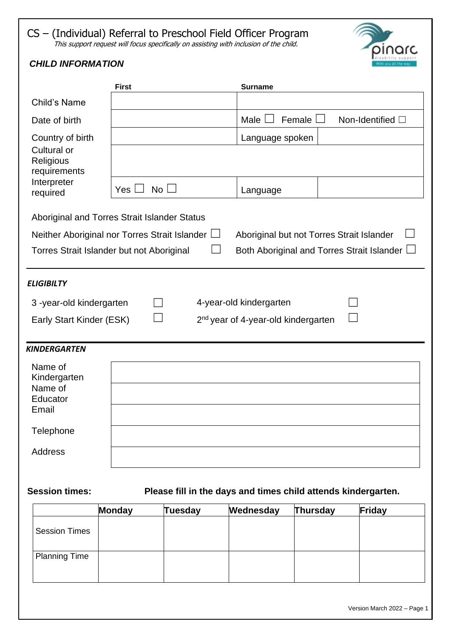## CS – (Individual) Referral to Preschool Field Officer Program This support request will focus specifically on assisting with inclusion of the child.



# *CHILD INFORMATION*

|                                          | <b>First</b>                                         | <b>Surname</b>                                    |
|------------------------------------------|------------------------------------------------------|---------------------------------------------------|
| <b>Child's Name</b>                      |                                                      |                                                   |
| Date of birth                            |                                                      | Male<br>Female<br>Non-Identified □                |
| Country of birth                         |                                                      | Language spoken                                   |
| Cultural or<br>Religious<br>requirements |                                                      |                                                   |
| Interpreter<br>required                  | $No \Box$<br>Yes                                     | Language                                          |
|                                          | Aboriginal and Torres Strait Islander Status         |                                                   |
|                                          | Neither Aboriginal nor Torres Strait Islander $\Box$ | Aboriginal but not Torres Strait Islander         |
|                                          | Torres Strait Islander but not Aboriginal            | Both Aboriginal and Torres Strait Islander $\Box$ |
|                                          |                                                      |                                                   |
| <b>ELIGIBILTY</b>                        |                                                      |                                                   |
| 3-year-old kindergarten                  |                                                      | 4-year-old kindergarten                           |
| Early Start Kinder (ESK)                 |                                                      | 2 <sup>nd</sup> year of 4-year-old kindergarten   |
|                                          |                                                      |                                                   |
| <b>KINDERGARTEN</b>                      |                                                      |                                                   |
| Name of<br>Kindergarten                  |                                                      |                                                   |
| Name of                                  |                                                      |                                                   |
| Educator<br>Email                        |                                                      |                                                   |
|                                          |                                                      |                                                   |
| Telephone                                |                                                      |                                                   |
| <b>Address</b>                           |                                                      |                                                   |
|                                          |                                                      |                                                   |
|                                          |                                                      |                                                   |

# **Session times: Please fill in the days and times child attends kindergarten.**

|                      | Monday | <b>Tuesday</b> | Wednesday | <b>Thursday</b> | Friday |
|----------------------|--------|----------------|-----------|-----------------|--------|
| <b>Session Times</b> |        |                |           |                 |        |
| <b>Planning Time</b> |        |                |           |                 |        |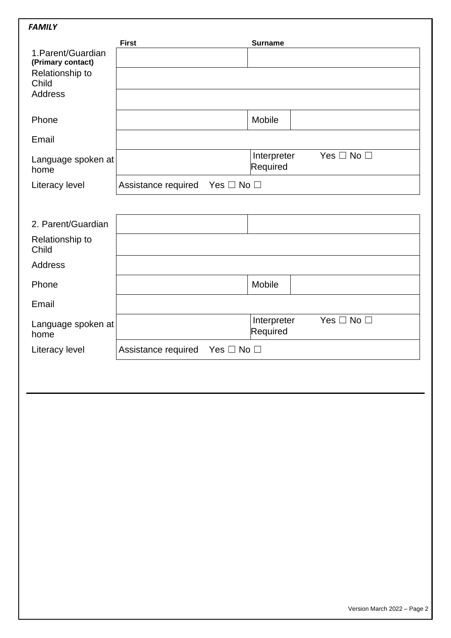| 1. Parent/Guardian         | <b>First</b>                                | <b>Surname</b>                                  |
|----------------------------|---------------------------------------------|-------------------------------------------------|
| (Primary contact)          |                                             |                                                 |
| Relationship to<br>Child   |                                             |                                                 |
| <b>Address</b>             |                                             |                                                 |
|                            |                                             |                                                 |
| Phone                      |                                             | Mobile                                          |
| Email                      |                                             |                                                 |
| Language spoken at         |                                             | Interpreter<br>Yes $\Box$ No $\Box$             |
| home                       |                                             | Required                                        |
| Literacy level             | Assistance required<br>Yes $\Box$ No $\Box$ |                                                 |
|                            |                                             |                                                 |
| 2. Parent/Guardian         |                                             |                                                 |
| Relationship to<br>Child   |                                             |                                                 |
| <b>Address</b>             |                                             |                                                 |
| Phone                      |                                             | Mobile                                          |
| Email                      |                                             |                                                 |
| Language spoken at<br>home |                                             | Yes $\Box$ No $\Box$<br>Interpreter<br>Required |
| Literacy level             | Assistance required<br>Yes $\Box$ No $\Box$ |                                                 |
|                            |                                             |                                                 |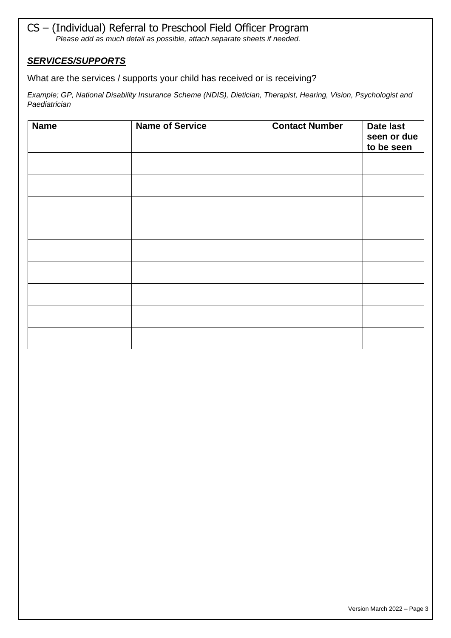#### CS – (Individual) Referral to Preschool Field Officer Program *Please add as much detail as possible, attach separate sheets if needed.*

#### *SERVICES/SUPPORTS*

What are the services / supports your child has received or is receiving?

*Example; GP, National Disability Insurance Scheme (NDIS), Dietician, Therapist, Hearing, Vision, Psychologist and Paediatrician*

| <b>Name</b> | <b>Name of Service</b> | <b>Contact Number</b> | Date last<br>seen or due<br>to be seen |
|-------------|------------------------|-----------------------|----------------------------------------|
|             |                        |                       |                                        |
|             |                        |                       |                                        |
|             |                        |                       |                                        |
|             |                        |                       |                                        |
|             |                        |                       |                                        |
|             |                        |                       |                                        |
|             |                        |                       |                                        |
|             |                        |                       |                                        |
|             |                        |                       |                                        |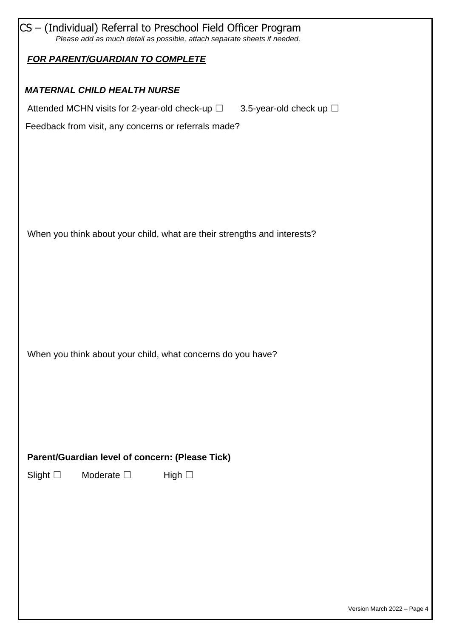| CS - (Individual) Referral to Preschool Field Officer Program<br>Please add as much detail as possible, attach separate sheets if needed. |  |
|-------------------------------------------------------------------------------------------------------------------------------------------|--|
| <b>FOR PARENT/GUARDIAN TO COMPLETE</b>                                                                                                    |  |
| <b>MATERNAL CHILD HEALTH NURSE</b>                                                                                                        |  |
| Attended MCHN visits for 2-year-old check-up $\square$<br>3.5-year-old check up $\square$                                                 |  |
| Feedback from visit, any concerns or referrals made?                                                                                      |  |
|                                                                                                                                           |  |
|                                                                                                                                           |  |
|                                                                                                                                           |  |
|                                                                                                                                           |  |
| When you think about your child, what are their strengths and interests?                                                                  |  |
|                                                                                                                                           |  |
|                                                                                                                                           |  |
|                                                                                                                                           |  |
|                                                                                                                                           |  |
| When you think about your child, what concerns do you have?                                                                               |  |
|                                                                                                                                           |  |
|                                                                                                                                           |  |
|                                                                                                                                           |  |
|                                                                                                                                           |  |
| Parent/Guardian level of concern: (Please Tick)                                                                                           |  |
| Moderate $\square$<br>Slight $\square$<br>High $\square$                                                                                  |  |
|                                                                                                                                           |  |
|                                                                                                                                           |  |
|                                                                                                                                           |  |
|                                                                                                                                           |  |
|                                                                                                                                           |  |
|                                                                                                                                           |  |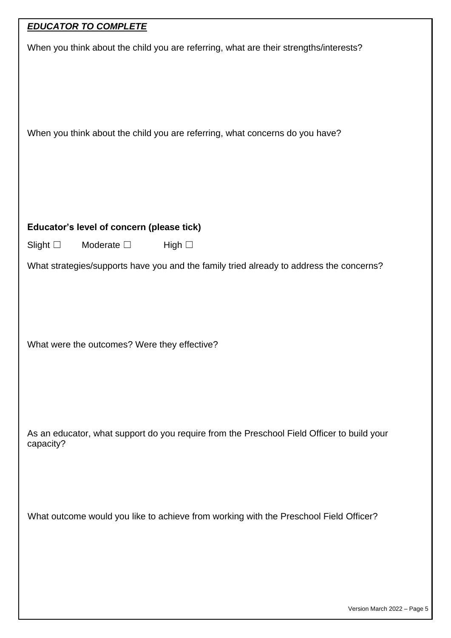# *EDUCATOR TO COMPLETE*

| When you think about the child you are referring, what are their strengths/interests?              |
|----------------------------------------------------------------------------------------------------|
| When you think about the child you are referring, what concerns do you have?                       |
| Educator's level of concern (please tick)                                                          |
| Slight $\square$<br>Moderate $\square$<br>High $\square$                                           |
| What strategies/supports have you and the family tried already to address the concerns?            |
| What were the outcomes? Were they effective?                                                       |
| As an educator, what support do you require from the Preschool Field Officer to build your         |
| capacity?<br>What outcome would you like to achieve from working with the Preschool Field Officer? |
|                                                                                                    |
|                                                                                                    |